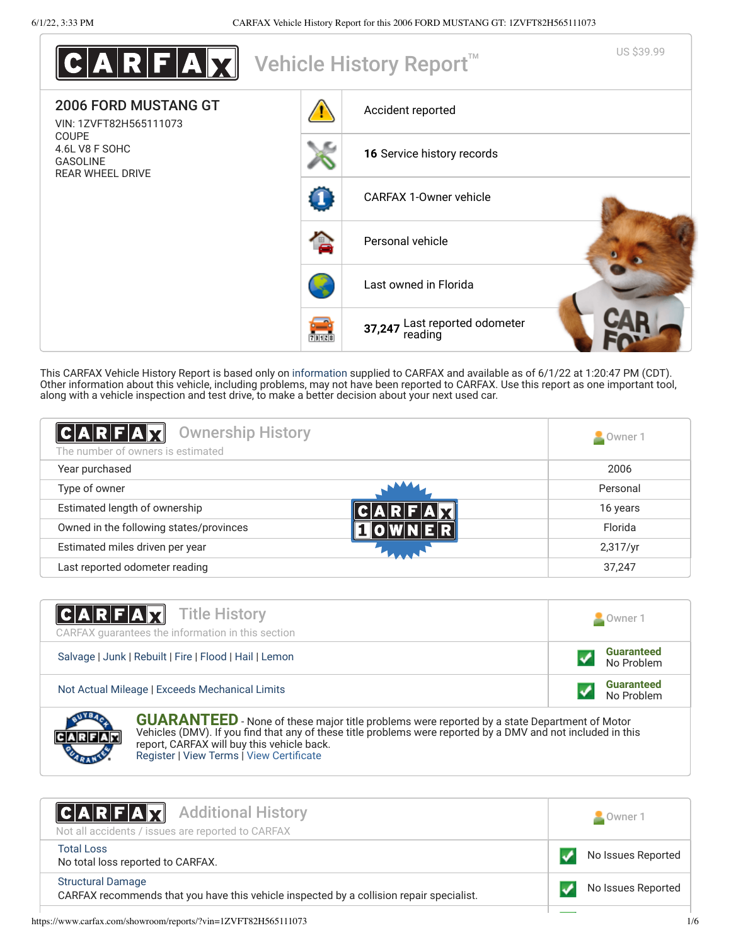| $\textbf{C} \textbf{A} \textbf{R} \textbf{F} \textbf{A} \textbf{M} $         |       | Vehicle History Report <sup>™</sup>      | US \$39.99 |
|------------------------------------------------------------------------------|-------|------------------------------------------|------------|
| <b>2006 FORD MUSTANG GT</b><br>VIN: 1ZVFT82H565111073                        |       | Accident reported                        |            |
| <b>COUPE</b><br>4.6L V8 F SOHC<br><b>GASOLINE</b><br><b>REAR WHEEL DRIVE</b> |       | 16 Service history records               |            |
|                                                                              |       | <b>CARFAX 1-Owner vehicle</b>            |            |
|                                                                              |       | Personal vehicle                         |            |
|                                                                              |       | Last owned in Florida                    |            |
|                                                                              | 73128 | 37,247 Last reported odometer<br>reading |            |

This CARFAX Vehicle History Report is based only on [information](http://www.carfax.com/company/vhr-data-sources) supplied to CARFAX and available as of 6/1/22 at 1:20:47 PM (CDT). Other information about this vehicle, including problems, may not have been reported to CARFAX. Use this report as one important tool, along with a vehicle inspection and test drive, to make a better decision about your next used car.

<span id="page-0-1"></span>

| <b>Ownership History</b><br>CARFAX<br>The number of owners is estimated | Owner 1  |
|-------------------------------------------------------------------------|----------|
| Year purchased                                                          | 2006     |
| Type of owner                                                           | Personal |
| Estimated length of ownership                                           | 16 years |
| Owned in the following states/provinces                                 | Florida  |
| Estimated miles driven per year                                         | 2,317/yr |
| Last reported odometer reading                                          | 37,247   |

| <b>CARFAX</b> Title History<br>CARFAX quarantees the information in this section | Owner 1                         |
|----------------------------------------------------------------------------------|---------------------------------|
| Salvage   Junk   Rebuilt   Fire   Flood   Hail   Lemon                           | <b>Guaranteed</b><br>No Problem |
| Not Actual Mileage   Exceeds Mechanical Limits                                   | <b>Guaranteed</b><br>No Problem |
| <b>STATISTICS</b>                                                                |                                 |



**GUARANTEED** - None of these major title problems were reported by a state Department of Motor Vehicles (DMV). If you find that any of these title problems were reported by a DMV and not included in this report, CARFAX will buy this vehicle back. [Register](https://www.carfax.com/Service/bbg) | [View Terms](https://www.carfax.com/company/carfax-buyback-guarantee-terms-and-conditions) | [View Certificate](https://www.carfax.com/showroom/reports/?vin=1ZVFT82H565111073)

<span id="page-0-0"></span>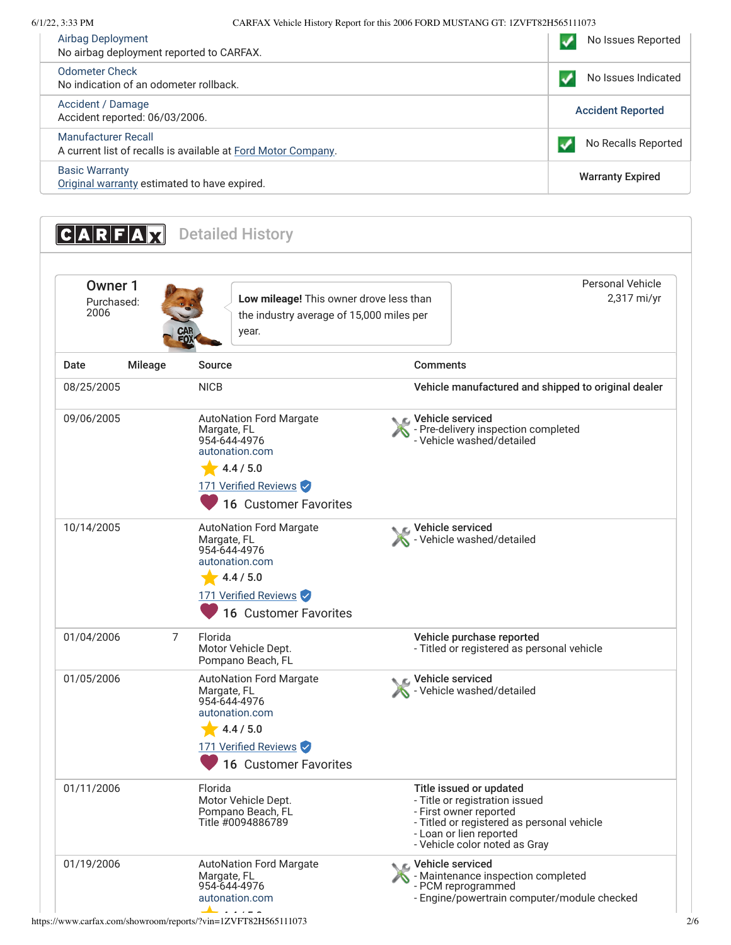## 6/1/22, 3:33 PM CARFAX Vehicle History Report for this 2006 FORD MUSTANG GT: 1ZVFT82H565111073

| Airbag Deployment<br>No airbag deployment reported to CARFAX.                        | No Issues Reported       |
|--------------------------------------------------------------------------------------|--------------------------|
| Odometer Check<br>No indication of an odometer rollback.                             | No Issues Indicated      |
| Accident / Damage<br>Accident reported: 06/03/2006.                                  | <b>Accident Reported</b> |
| Manufacturer Recall<br>A current list of recalls is available at Ford Motor Company. | No Recalls Reported      |
| <b>Basic Warranty</b><br>Original warranty estimated to have expired.                | <b>Warranty Expired</b>  |

<span id="page-1-1"></span><span id="page-1-0"></span>**CARFAX** Detailed History Personal Vehicle Owner 1 **Low mileage!** This owner drove less than 2,317 mi/yr Purchased: 2006 the industry average of 15,000 miles per year. Date Mileage Source **Comments** 08/25/2005 NICB NICB NICB Vehicle manufactured and shipped to original dealer Vehicle serviced 09/06/2005 [AutoNation Ford Margate](http://www.autonation.com/) Margate, FL - Pre-delivery inspection completed  $\mathcal{L}$ 954-644-4976 - Vehicle washed/detailed [autonation.com](http://www.autonation.com/)  $4.4 / 5.0$ 171 Verified Reviews <sup>16</sup> Customer Favorites 10/14/2005 [AutoNation Ford Margate](http://www.autonation.com/) **C** Vehicle serviced Margate, FL - Vehicle washed/detailed 954-644-4976 [autonation.com](http://www.autonation.com/)  $-4.4 / 5.0$ 171 Verified Reviews <sup>16</sup> Customer Favorites 01/04/2006 7 Florida Vehicle purchase reported Motor Vehicle Dept. - Titled or registered as personal vehicle Pompano Beach, FL 01/05/2006 [AutoNation Ford Margate](http://www.autonation.com/) **Vehicle serviced** Margate, FL - Vehicle washed/detailed 954-644-4976 [autonation.com](http://www.autonation.com/)  $-4.4 / 5.0$ 171 Verified Reviews <sup>16</sup> Customer Favorites01/11/2006 Florida Title issued or updated Motor Vehicle Dept. - Title or registration issued Pompano Beach, FL - First owner reported Title #0094886789 - Titled or registered as personal vehicle - Loan or lien reported - Vehicle color noted as Gray Vehicle serviced 01/19/2006 [AutoNation Ford Margate](http://www.autonation.com/) Margate, FL - Maintenance inspection completed S 954-644-4976 - PCM reprogrammed [autonation.com](http://www.autonation.com/) - Engine/powertrain computer/module checked https://www.carfax.com/showroom/reports/?vin=1ZVFT82H565111073 2/6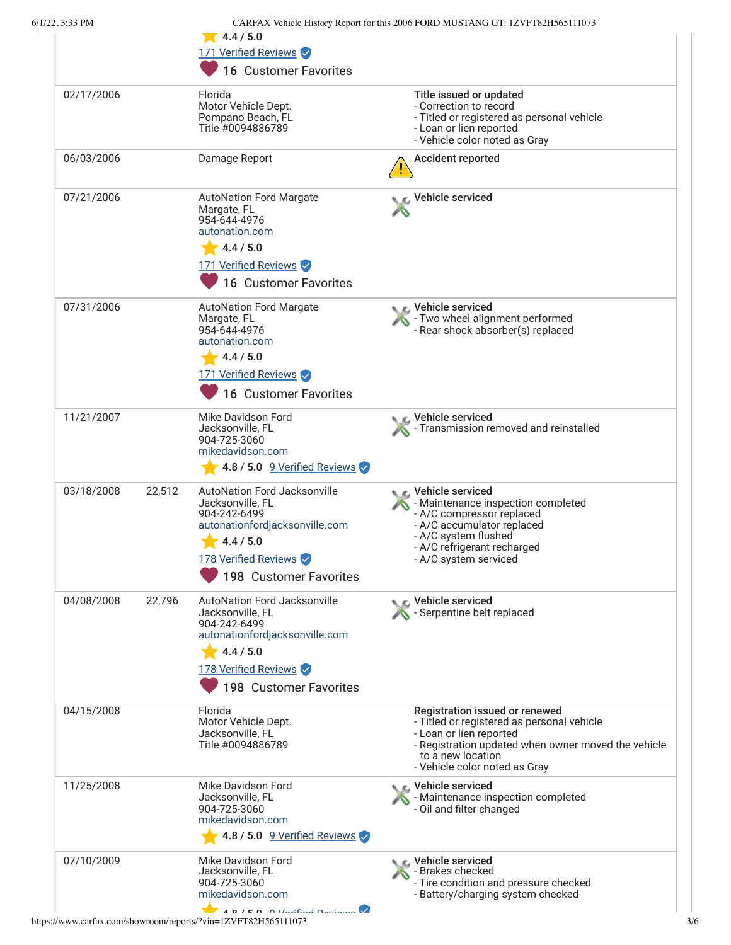|            |        | $\sqrt{4.4/5.0}$<br>171 Verified Reviews<br>16 Customer Favorites                                                                                                                                                             |                                                                                                                                                                                                                      |
|------------|--------|-------------------------------------------------------------------------------------------------------------------------------------------------------------------------------------------------------------------------------|----------------------------------------------------------------------------------------------------------------------------------------------------------------------------------------------------------------------|
| 02/17/2006 |        | Florida<br>Motor Vehicle Dept.<br>Pompano Beach, FL<br>Title #0094886789                                                                                                                                                      | Title issued or updated<br>- Correction to record<br>- Titled or registered as personal vehicle<br>- Loan or lien reported<br>- Vehicle color noted as Gray                                                          |
| 06/03/2006 |        | Damage Report                                                                                                                                                                                                                 | <b>Accident reported</b>                                                                                                                                                                                             |
| 07/21/2006 |        | <b>AutoNation Ford Margate</b><br>Margate, FL<br>954-644-4976<br>autonation.com<br>4.4 / 5.0<br>171 Verified Reviews<br>16 Customer Favorites                                                                                 | Vehicle serviced                                                                                                                                                                                                     |
| 07/31/2006 |        | <b>AutoNation Ford Margate</b><br>Margate, FL<br>954-644-4976<br>autonation.com<br>4.4 / 5.0<br>171 Verified Reviews<br>16 Customer Favorites                                                                                 | C Vehicle serviced<br>- Two wheel alignment performed<br>- Rear shock absorber(s) replaced                                                                                                                           |
| 11/21/2007 |        | Mike Davidson Ford<br>Jacksonville, FL<br>904-725-3060<br>mikedavidson.com<br>4.8 / 5.0 9 Verified Reviews                                                                                                                    | Vehicle serviced<br>Transmission removed and reinstalled                                                                                                                                                             |
| 03/18/2008 | 22,512 | <b>AutoNation Ford Jacksonville</b><br>Jacksonville, FL<br>904-242-6499<br>autonationfordjacksonville.com<br>4.4 / 5.0<br>178 Verified Reviews<br>198 Customer Favorites                                                      | C Vehicle serviced<br>- Maintenance inspection completed<br>- A/C compressor replaced<br>- A/C accumulator replaced<br>- A/C system flushed<br>- A/C refrigerant recharged<br>- A/C system serviced                  |
| 04/08/2008 | 22,796 | <b>AutoNation Ford Jacksonville</b><br>Jacksonville, FL<br>904-242-6499<br>autonationfordjacksonville.com<br>4.4 / 5.0<br>178 Verified Reviews<br>198 Customer Favorites                                                      | Vehicle serviced<br>Serpentine belt replaced                                                                                                                                                                         |
| 04/15/2008 |        | Florida<br>Motor Vehicle Dept.<br>Jacksonville, FL<br>Title #0094886789                                                                                                                                                       | Registration issued or renewed<br>- Titled or registered as personal vehicle<br>- Loan or lien reported<br>- Registration updated when owner moved the vehicle<br>to a new location<br>- Vehicle color noted as Gray |
| 11/25/2008 |        | Mike Davidson Ford<br>Jacksonville, FL<br>904-725-3060<br>mikedavidson.com<br>$-4.8$ / 5.0 $-9$ Verified Reviews                                                                                                              | Vehicle serviced<br>- Maintenance inspection completed<br>- Oil and filter changed                                                                                                                                   |
| 07/10/2009 |        | Mike Davidson Ford<br>Jacksonville, FL<br>904-725-3060<br>mikedavidson.com<br>$\overline{AB}$ $\overline{AB}$ $\overline{AB}$ $\overline{AB}$ $\overline{AB}$ $\overline{AB}$ $\overline{BA}$ $\overline{BA}$ $\overline{BA}$ | C Vehicle serviced<br>- Brakes checked<br>- Tire condition and pressure checked<br>- Battery/charging system checked                                                                                                 |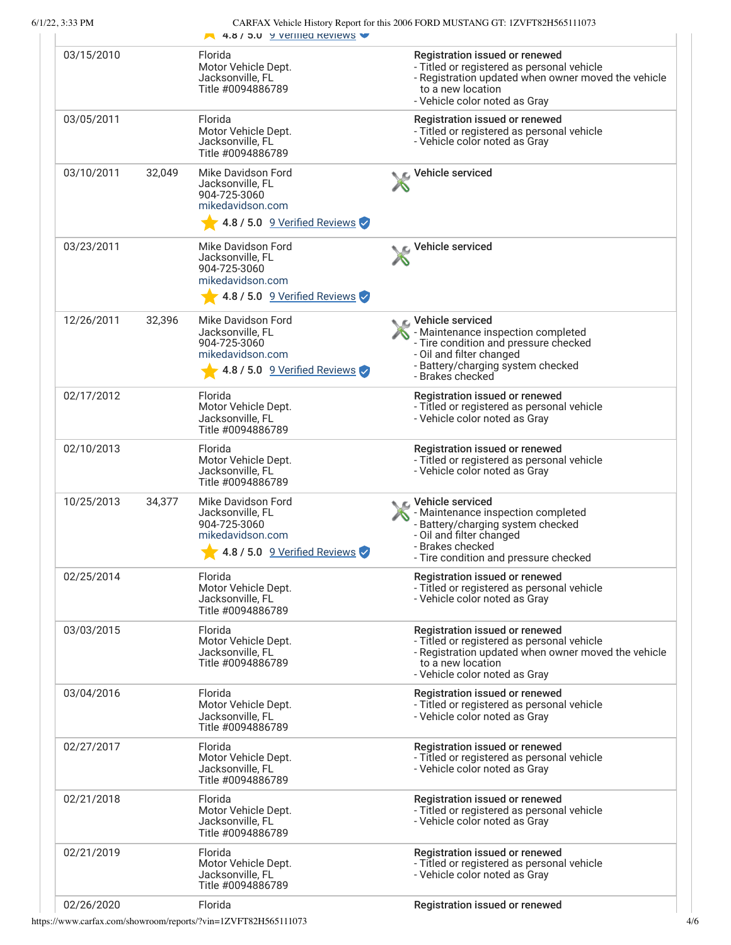| 6/1/22, 3:33 PM |        | 4.8 / 5.0 9 Verified Reviews                                                                                                | CARFAX Vehicle History Report for this 2006 FORD MUSTANG GT: 1ZVFT82H565111073                                                                                                                |
|-----------------|--------|-----------------------------------------------------------------------------------------------------------------------------|-----------------------------------------------------------------------------------------------------------------------------------------------------------------------------------------------|
| 03/15/2010      |        | Florida<br>Motor Vehicle Dept.<br>Jacksonville, FL<br>Title #0094886789                                                     | Registration issued or renewed<br>- Titled or registered as personal vehicle<br>- Registration updated when owner moved the vehicle<br>to a new location<br>- Vehicle color noted as Gray     |
| 03/05/2011      |        | Florida<br>Motor Vehicle Dept.<br>Jacksonville, FL<br>Title #0094886789                                                     | Registration issued or renewed<br>- Titled or registered as personal vehicle<br>- Vehicle color noted as Gray                                                                                 |
| 03/10/2011      | 32,049 | Mike Davidson Ford<br>Jacksonville, FL<br>904-725-3060<br>mikedavidson.com                                                  | ic⊾ Vehicle serviced                                                                                                                                                                          |
|                 |        | 4.8 / 5.0 9 Verified Reviews                                                                                                |                                                                                                                                                                                               |
| 03/23/2011      |        | Mike Davidson Ford<br>Jacksonville, FL<br>904-725-3060<br>mikedavidson.com                                                  | L Vehicle serviced                                                                                                                                                                            |
|                 |        | 4.8 / 5.0 $\sqrt{9}$ Verified Reviews                                                                                       |                                                                                                                                                                                               |
| 12/26/2011      | 32,396 | Mike Davidson Ford<br>Jacksonville, FL<br>904-725-3060<br>mikedavidson.com<br>4.8 / 5.0 $\sqrt{9 \text{ Verified Reviews}}$ | C Vehicle serviced<br>- Maintenance inspection completed<br>- Tire condition and pressure checked<br>- Oil and filter changed<br>- Battery/charging system checked<br>- Brakes checked        |
| 02/17/2012      |        | Florida<br>Motor Vehicle Dept.<br>Jacksonville, FL<br>Title #0094886789                                                     | Registration issued or renewed<br>- Titled or registered as personal vehicle<br>- Vehicle color noted as Gray                                                                                 |
| 02/10/2013      |        | Florida<br>Motor Vehicle Dept.<br>Jacksonville, FL<br>Title #0094886789                                                     | Registration issued or renewed<br>- Titled or registered as personal vehicle<br>- Vehicle color noted as Gray                                                                                 |
| 10/25/2013      | 34,377 | Mike Davidson Ford<br>Jacksonville, FL<br>904-725-3060<br>mikedavidson.com<br>4.8 / 5.0 9 Verified Reviews                  | <b>€</b> Vehicle serviced<br>- Maintenance inspection completed<br>- Battery/charging system checked<br>- Oil and filter changed<br>- Brakes checked<br>- Tire condition and pressure checked |
| 02/25/2014      |        | Florida<br>Motor Vehicle Dept.<br>Jacksonville, FL<br>Title #0094886789                                                     | Registration issued or renewed<br>- Titled or registered as personal vehicle<br>- Vehicle color noted as Gray                                                                                 |
| 03/03/2015      |        | Florida<br>Motor Vehicle Dept.<br>Jacksonville, FL<br>Title #0094886789                                                     | Registration issued or renewed<br>- Titled or registered as personal vehicle<br>- Registration updated when owner moved the vehicle<br>to a new location<br>- Vehicle color noted as Gray     |
| 03/04/2016      |        | Florida<br>Motor Vehicle Dept.<br>Jacksonville, FL<br>Title #0094886789                                                     | Registration issued or renewed<br>- Titled or registered as personal vehicle<br>- Vehicle color noted as Gray                                                                                 |
| 02/27/2017      |        | Florida<br>Motor Vehicle Dept.<br>Jacksonville, FL<br>Title #0094886789                                                     | Registration issued or renewed<br>- Titled or registered as personal vehicle<br>- Vehicle color noted as Gray                                                                                 |
| 02/21/2018      |        | Florida<br>Motor Vehicle Dept.<br>Jacksonville, FL<br>Title #0094886789                                                     | Registration issued or renewed<br>- Titled or registered as personal vehicle<br>- Vehicle color noted as Gray                                                                                 |
| 02/21/2019      |        | Florida<br>Motor Vehicle Dept.<br>Jacksonville, FL<br>Title #0094886789                                                     | Registration issued or renewed<br>- Titled or registered as personal vehicle<br>- Vehicle color noted as Gray                                                                                 |
| 02/26/2020      |        | Florida                                                                                                                     | Registration issued or renewed                                                                                                                                                                |

https://www.carfax.com/showroom/reports/?vin=1ZVFT82H565111073 4/6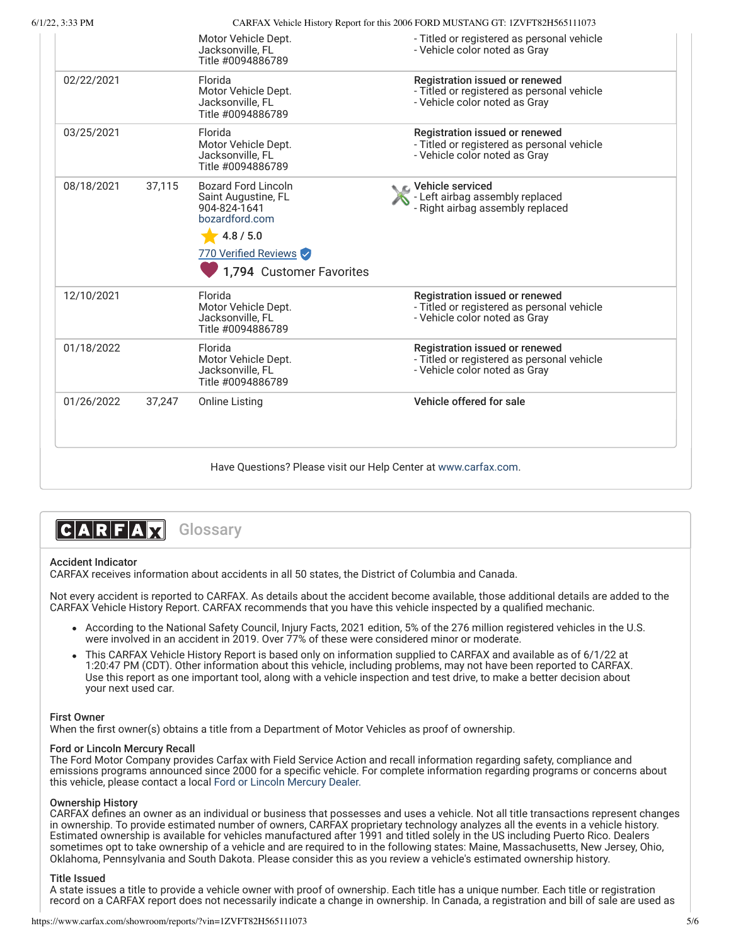|  | $6/1/22$ , 3:33 PM |  |
|--|--------------------|--|
|  |                    |  |

CARFAX Vehicle History Report for this 2006 FORD MUSTANG GT: 1ZVFT82H565111073

|            |        | Motor Vehicle Dept.<br>Jacksonville, FL<br>Title #0094886789                                                                                         | - Titled or registered as personal vehicle<br>- Vehicle color noted as Gray                                   |
|------------|--------|------------------------------------------------------------------------------------------------------------------------------------------------------|---------------------------------------------------------------------------------------------------------------|
| 02/22/2021 |        | Florida<br>Motor Vehicle Dept.<br>Jacksonville, FL<br>Title #0094886789                                                                              | Registration issued or renewed<br>- Titled or registered as personal vehicle<br>- Vehicle color noted as Gray |
| 03/25/2021 |        | Florida<br>Motor Vehicle Dept.<br>Jacksonville, FL<br>Title #0094886789                                                                              | Registration issued or renewed<br>- Titled or registered as personal vehicle<br>- Vehicle color noted as Gray |
| 08/18/2021 | 37,115 | <b>Bozard Ford Lincoln</b><br>Saint Augustine, FL<br>904-824-1641<br>bozardford.com<br>4.8 / 5.0<br>770 Verified Reviews<br>1,794 Customer Favorites | <b>€</b> Vehicle serviced<br>- Left airbag assembly replaced<br>- Right airbag assembly replaced              |
| 12/10/2021 |        | Florida<br>Motor Vehicle Dept.<br>Jacksonville, FL<br>Title #0094886789                                                                              | Registration issued or renewed<br>- Titled or registered as personal vehicle<br>- Vehicle color noted as Gray |
| 01/18/2022 |        | Florida<br>Motor Vehicle Dept.<br>Jacksonville, FL<br>Title #0094886789                                                                              | Registration issued or renewed<br>- Titled or registered as personal vehicle<br>- Vehicle color noted as Gray |
| 01/26/2022 | 37,247 | <b>Online Listing</b>                                                                                                                                | Vehicle offered for sale                                                                                      |

# CARFAM

**Glossary** 

### Accident Indicator

CARFAX receives information about accidents in all 50 states, the District of Columbia and Canada.

Not every accident is reported to CARFAX. As details about the accident become available, those additional details are added to the CARFAX Vehicle History Report. CARFAX recommends that you have this vehicle inspected by a qualified mechanic.

- According to the National Safety Council, Injury Facts, 2021 edition, 5% of the 276 million registered vehicles in the U.S. were involved in an accident in 2019. Over 77% of these were considered minor or moderate.
- This CARFAX Vehicle History Report is based only on information supplied to CARFAX and available as of 6/1/22 at 1:20:47 PM (CDT). Other information about this vehicle, including problems, may not have been reported to CARFAX. Use this report as one important tool, along with a vehicle inspection and test drive, to make a better decision about your next used car.

### First Owner

When the first owner(s) obtains a title from a Department of Motor Vehicles as proof of ownership.

### Ford or Lincoln Mercury Recall

The Ford Motor Company provides Carfax with Field Service Action and recall information regarding safety, compliance and emissions programs announced since 2000 for a specific vehicle. For complete information regarding programs or concerns about this vehicle, please contact a local [Ford or Lincoln Mercury Dealer.](http://www.fordvehicles.com/dealerships/locate/)

### Ownership History

CARFAX defines an owner as an individual or business that possesses and uses a vehicle. Not all title transactions represent changes in ownership. To provide estimated number of owners, CARFAX proprietary technology analyzes all the events in a vehicle history. Estimated ownership is available for vehicles manufactured after 1991 and titled solely in the US including Puerto Rico. Dealers sometimes opt to take ownership of a vehicle and are required to in the following states: Maine, Massachusetts, New Jersey, Ohio, Oklahoma, Pennsylvania and South Dakota. Please consider this as you review a vehicle's estimated ownership history.

### Title Issued

A state issues a title to provide a vehicle owner with proof of ownership. Each title has a unique number. Each title or registration record on a CARFAX report does not necessarily indicate a change in ownership. In Canada, a registration and bill of sale are used as